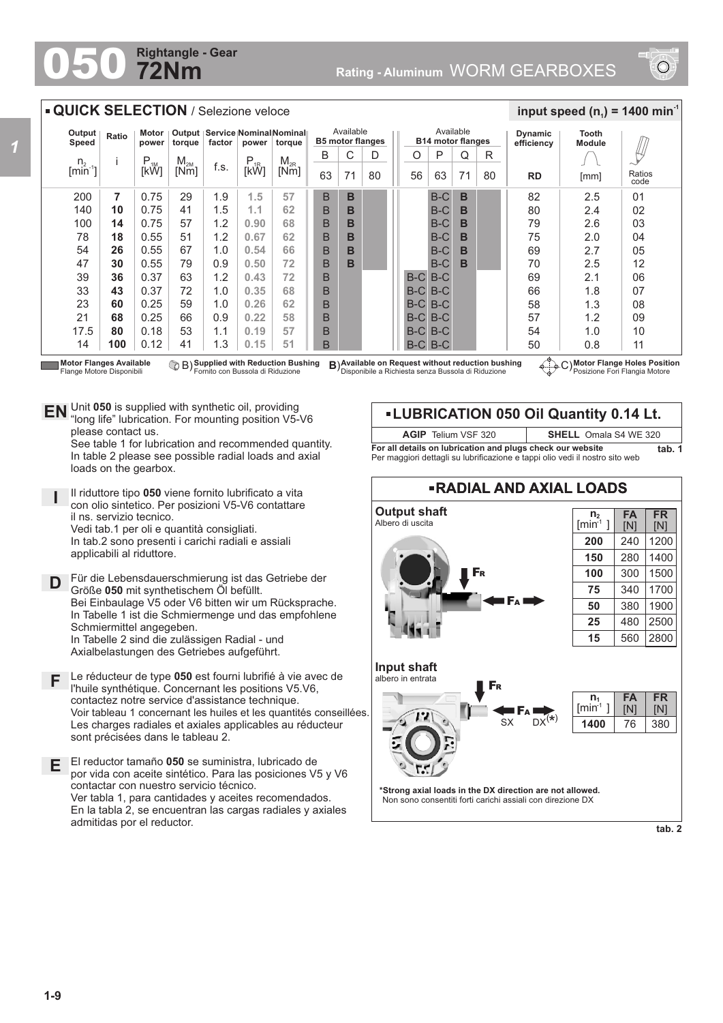## **72Nm Rightangle - Gear**



## **QUICK SELECTION** / Selezione veloce  $\frac{1}{2}$  **input speed (n**<sub>1</sub>) = 1400 min<sup>-1</sup> Available Available **Output Speed Ratio Motor Output Service Nominal Nominal Dynamic Tooth B5 motor flanges B14 motor flanges power torque factor power torque efficiency Module**  $\psi$ B D  $O | P$  $\Omega$ R C i P<br>[kW]  $\begin{array}{c|c|c|c} \mathsf{M}_{\mathsf{2M}} & \mathsf{f.s.} & \mathsf{P}_{\mathsf{1R}} & \mathsf{M}_{\mathsf{2R}} \ \hline \mathsf{[Nm]} & \mathsf{[KW]} & \mathsf{[KW]} \end{array}$ n.  $M_{2M}$ <br>Mml  $[min^{-1}]$ 63 71 80 56 63 71 80 **RD** Ratios code [mm] 200 **7** 0.75 29 B B-C 82 2.5 01 1.9 **1.5 57 B B** 140 **10** 0.75 41 1.5 **1.1** B B-C 80  $2\Delta$ 02 **62 B B** 100 **14** 0.75 57 1.2 **0.90 68** B B-C 79 2.6 03 **B B** 0.55 **0.67 62** 78 **18** 51 1.2 B B-C **B** 75 2.0 04 **B** 54 **26** 0.55 67 **0.54 66** B B-C 2.7 05 1.0 **B B**  $69$ 47 0.55 79 0.9 **0.50 72** B B-C 70 2.5 **30 B B** 12 39 0.37 **0.43 72** B B-C 2.1 **36** 63 1.2 B-C 69  $\Omega$ 33 **43** 0.37 72 1.0 **0.35 68** B 07 B-C  $B-C$ 66 1.8 23 **60** 0.25 59 1.0 **0.26 62** B 58 1.3 08 B-C B-C 21 **68** 0.25 66 0.9 **0.22 58** B 57 1.2 09 B-C B-C 17.5 **80** 0.18 53 1.1 **0.19 57** B 54 1.0 10 B-C B-C  $14$ **100** 0.12 41 1.3 **0.15 51** B 50 0.8 B-C B-C 11 Motor Flanges Available<br>Flange Motore Disponibili **Available (DR) Supplied with Reduction Bushing B) Available on Request without reduction bushing (C) (C) Flange<br>Flange Motore Disponibili Fornito con Bussola di Riduzione (Disponibile a Richiesta senza Bussola di Riduzion Supplied with Reduction Bushing** B) **B**) **Motor Flange Holes Position** Posizione Fori Flangia Motore Fornito con Bussola di Riduzione Unit **050** is supplied with synthetic oil, providing **EN** Unit **050** is supplied with synthetic oil, providing<br>"long life" lubrication. For mounting position V5-V6 **LUBRICATION 050 Oil Quantity 0.14 Lt.** please contact us. **AGIP** Telium VSF 320 **SHELL** Omala S4 WE 320 See table 1 for lubrication and recommended quantity. **For all details on lubrication and plugs check our website <b>tab. 1** In table 2 please see possible radial loads and axial Per maggiori dettagli su lubrificazione e tappi olio vedi il nostro sito web loads on the gearbox. **RADIAL AND AXIAL LOADS** Il riduttore tipo **050** viene fornito lubrificato a vita **I** con olio sintetico. Per posizioni V5-V6 contattare **Output shaft n FA FR** il ns. servizio tecnico. n**ı**<br>[ min<sup>1</sup>] Albero di uscita [N] [N] Vedi tab.1 per oli e quantità consigliati. 1200 **200** 240 In tab.2 sono presenti i carichi radiali e assiali applicabili al riduttore. **150** 280 1400 F<sup>R</sup> **100** 300 1500 Für die Lebensdauerschmierung ist das Getriebe der **D** Größe **050** mit synthetischem Öl befüllt. **75** 340 1700 F<sup>A</sup> Bei Einbaulage V5 oder V6 bitten wir um Rücksprache. **50** 380 1900 In Tabelle 1 ist die Schmiermenge und das empfohlene **25** 480 2500 Schmiermittel angegeben. **15** 560 2800 In Tabelle 2 sind die zulässigen Radial - und Axialbelastungen des Getriebes aufgeführt. **Input shaft** Le réducteur de type **050** est fourni lubrifié à vie avec de **F** albero in entrata l'huile synthétique. Concernant les positions V5.V6, F<sup>R</sup>  $\overline{n_1}$ **FR FA** contactez notre service d'assistance technique. [N]  $[min^1]$ [N] Voir tableau 1 concernant les huiles et les quantités conseillées. F<sup>A</sup>  $S_X$   $DX^{(*)}$ **1400** 76 380 Les charges radiales et axiales applicables au réducteur sont précisées dans le tableau 2. El reductor tamaño **050** se suministra, lubricado de **E** por vida con aceite sintético. Para las posiciones V5 y V6 contactar con nuestro servicio técnico.

**\*Strong axial loads in the DX direction are not allowed.** Non sono consentiti forti carichi assiali con direzione DX

**tab. 2**

Ver tabla 1, para cantidades y aceites recomendados. En la tabla 2, se encuentran las cargas radiales y axiales

admitidas por el reductor.